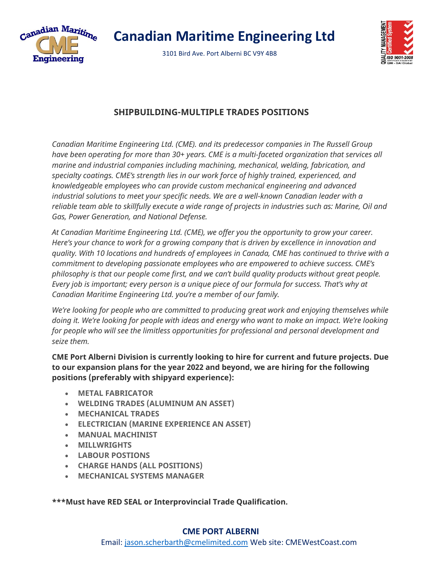

 **Canadian Maritime Engineering Ltd**

3101 Bird Ave. Port Alberni BC V9Y 4B8



## **SHIPBUILDING-MULTIPLE TRADES POSITIONS**

*Canadian Maritime Engineering Ltd. (CME). and its predecessor companies in The Russell Group have been operating for more than 30+ years. CME is a multi-faceted organization that services all marine and industrial companies including machining, mechanical, welding, fabrication, and specialty coatings. CME's strength lies in our work force of highly trained, experienced, and knowledgeable employees who can provide custom mechanical engineering and advanced industrial solutions to meet your specific needs. We are a well-known Canadian leader with a reliable team able to skillfully execute a wide range of projects in industries such as: Marine, Oil and Gas, Power Generation, and National Defense.*

*At Canadian Maritime Engineering Ltd. (CME), we offer you the opportunity to grow your career. Here's your chance to work for a growing company that is driven by excellence in innovation and quality. With 10 locations and hundreds of employees in Canada, CME has continued to thrive with a commitment to developing passionate employees who are empowered to achieve success. CME's philosophy is that our people come first, and we can't build quality products without great people. Every job is important; every person is a unique piece of our formula for success. That's why at Canadian Maritime Engineering Ltd. you're a member of our family.*

*We're looking for people who are committed to producing great work and enjoying themselves while doing it. We're looking for people with ideas and energy who want to make an impact. We're looking for people who will see the limitless opportunities for professional and personal development and seize them.*

**CME Port Alberni Division is currently looking to hire for current and future projects. Due to our expansion plans for the year 2022 and beyond, we are hiring for the following positions (preferably with shipyard experience):**

- **METAL FABRICATOR**
- **WELDING TRADES (ALUMINUM AN ASSET)**
- **MECHANICAL TRADES**
- **ELECTRICIAN (MARINE EXPERIENCE AN ASSET)**
- **MANUAL MACHINIST**
- **MILLWRIGHTS**
- **LABOUR POSTIONS**
- **CHARGE HANDS (ALL POSITIONS)**
- **MECHANICAL SYSTEMS MANAGER**

**\*\*\*Must have RED SEAL or Interprovincial Trade Qualification.**